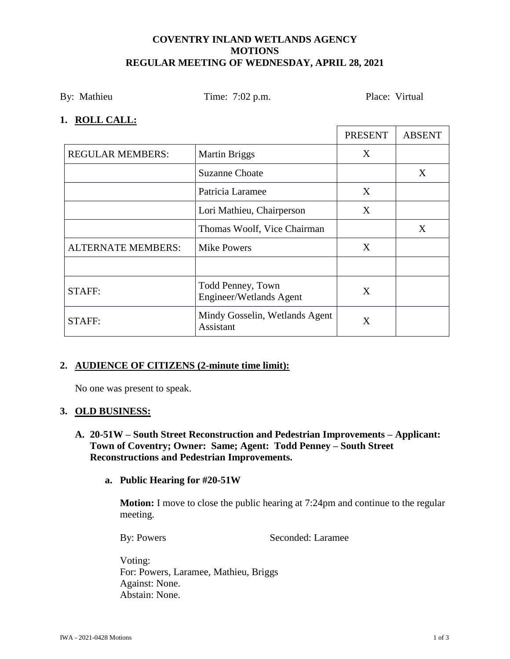### **COVENTRY INLAND WETLANDS AGENCY MOTIONS REGULAR MEETING OF WEDNESDAY, APRIL 28, 2021**

By: Mathieu Time: 7:02 p.m. Place: Virtual

 $\mathbf{r}$ 

### **1. ROLL CALL:**

|                           |                                              | <b>PRESENT</b> | <b>ABSENT</b> |
|---------------------------|----------------------------------------------|----------------|---------------|
| <b>REGULAR MEMBERS:</b>   | <b>Martin Briggs</b>                         | X              |               |
|                           | <b>Suzanne Choate</b>                        |                | X             |
|                           | Patricia Laramee                             | X              |               |
|                           | Lori Mathieu, Chairperson                    | X              |               |
|                           | Thomas Woolf, Vice Chairman                  |                | X             |
| <b>ALTERNATE MEMBERS:</b> | <b>Mike Powers</b>                           | X              |               |
|                           |                                              |                |               |
| <b>STAFF:</b>             | Todd Penney, Town<br>Engineer/Wetlands Agent | X              |               |
| <b>STAFF:</b>             | Mindy Gosselin, Wetlands Agent<br>Assistant  | Χ              |               |

# **2. AUDIENCE OF CITIZENS (2-minute time limit):**

No one was present to speak.

# **3. OLD BUSINESS:**

# **A. 20-51W – South Street Reconstruction and Pedestrian Improvements – Applicant: Town of Coventry; Owner: Same; Agent: Todd Penney – South Street Reconstructions and Pedestrian Improvements.**

# **a. Public Hearing for #20-51W**

**Motion:** I move to close the public hearing at 7:24pm and continue to the regular meeting.

By: Powers Seconded: Laramee

Voting: For: Powers, Laramee, Mathieu, Briggs Against: None. Abstain: None.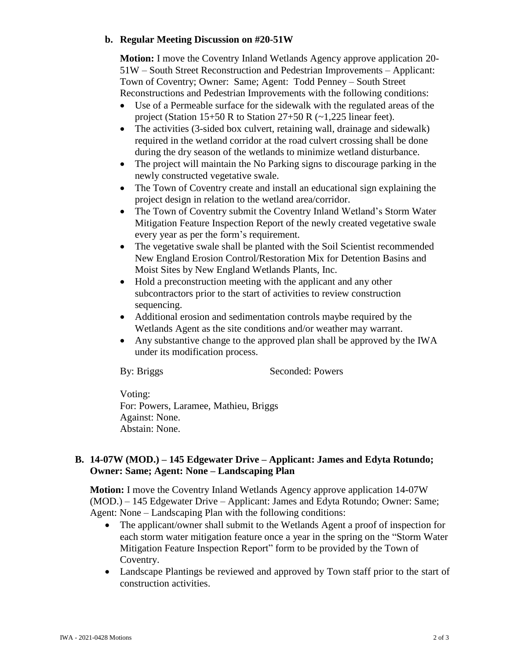### **b. Regular Meeting Discussion on #20-51W**

**Motion:** I move the Coventry Inland Wetlands Agency approve application 20- 51W – South Street Reconstruction and Pedestrian Improvements – Applicant: Town of Coventry; Owner: Same; Agent: Todd Penney – South Street Reconstructions and Pedestrian Improvements with the following conditions:

- Use of a Permeable surface for the sidewalk with the regulated areas of the project (Station 15+50 R to Station  $27+50$  R ( $\sim$ 1,225 linear feet).
- The activities (3-sided box culvert, retaining wall, drainage and sidewalk) required in the wetland corridor at the road culvert crossing shall be done during the dry season of the wetlands to minimize wetland disturbance.
- The project will maintain the No Parking signs to discourage parking in the newly constructed vegetative swale.
- The Town of Coventry create and install an educational sign explaining the project design in relation to the wetland area/corridor.
- The Town of Coventry submit the Coventry Inland Wetland's Storm Water Mitigation Feature Inspection Report of the newly created vegetative swale every year as per the form's requirement.
- The vegetative swale shall be planted with the Soil Scientist recommended New England Erosion Control/Restoration Mix for Detention Basins and Moist Sites by New England Wetlands Plants, Inc.
- Hold a preconstruction meeting with the applicant and any other subcontractors prior to the start of activities to review construction sequencing.
- Additional erosion and sedimentation controls maybe required by the Wetlands Agent as the site conditions and/or weather may warrant.
- Any substantive change to the approved plan shall be approved by the IWA under its modification process.

By: Briggs Seconded: Powers

Voting: For: Powers, Laramee, Mathieu, Briggs Against: None. Abstain: None.

# **B. 14-07W (MOD.) – 145 Edgewater Drive – Applicant: James and Edyta Rotundo; Owner: Same; Agent: None – Landscaping Plan**

**Motion:** I move the Coventry Inland Wetlands Agency approve application 14-07W (MOD.) – 145 Edgewater Drive – Applicant: James and Edyta Rotundo; Owner: Same; Agent: None – Landscaping Plan with the following conditions:

- The applicant/owner shall submit to the Wetlands Agent a proof of inspection for each storm water mitigation feature once a year in the spring on the "Storm Water Mitigation Feature Inspection Report" form to be provided by the Town of Coventry.
- Landscape Plantings be reviewed and approved by Town staff prior to the start of construction activities.